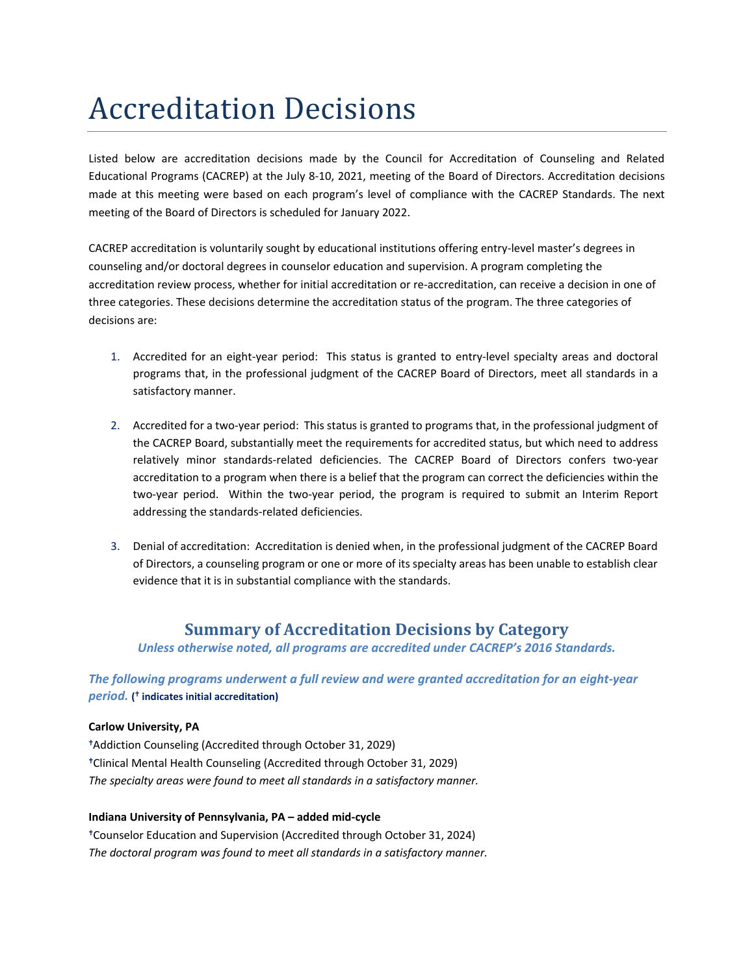# Accreditation Decisions

Listed below are accreditation decisions made by the Council for Accreditation of Counseling and Related Educational Programs (CACREP) at the July 8-10, 2021, meeting of the Board of Directors. Accreditation decisions made at this meeting were based on each program's level of compliance with the CACREP Standards. The next meeting of the Board of Directors is scheduled for January 2022.

CACREP accreditation is voluntarily sought by educational institutions offering entry-level master's degrees in counseling and/or doctoral degrees in counselor education and supervision. A program completing the accreditation review process, whether for initial accreditation or re-accreditation, can receive a decision in one of three categories. These decisions determine the accreditation status of the program. The three categories of decisions are:

- 1. Accredited for an eight-year period: This status is granted to entry-level specialty areas and doctoral programs that, in the professional judgment of the CACREP Board of Directors, meet all standards in a satisfactory manner.
- 2. Accredited for a two-year period: This status is granted to programs that, in the professional judgment of the CACREP Board, substantially meet the requirements for accredited status, but which need to address relatively minor standards-related deficiencies. The CACREP Board of Directors confers two-year accreditation to a program when there is a belief that the program can correct the deficiencies within the two-year period. Within the two-year period, the program is required to submit an Interim Report addressing the standards-related deficiencies.
- 3. Denial of accreditation: Accreditation is denied when, in the professional judgment of the CACREP Board of Directors, a counseling program or one or more of its specialty areas has been unable to establish clear evidence that it is in substantial compliance with the standards.

# **Summary of Accreditation Decisions by Category**

*Unless otherwise noted, all programs are accredited under CACREP's 2016 Standards.*

*The following programs underwent a full review and were granted accreditation for an eight-year period.* **( indicates initial accreditation)**

## **Carlow University, PA**

Addiction Counseling (Accredited through October 31, 2029) Clinical Mental Health Counseling (Accredited through October 31, 2029) *The specialty areas were found to meet all standards in a satisfactory manner.*

## **Indiana University of Pennsylvania, PA – added mid-cycle**

Counselor Education and Supervision (Accredited through October 31, 2024) *The doctoral program was found to meet all standards in a satisfactory manner.*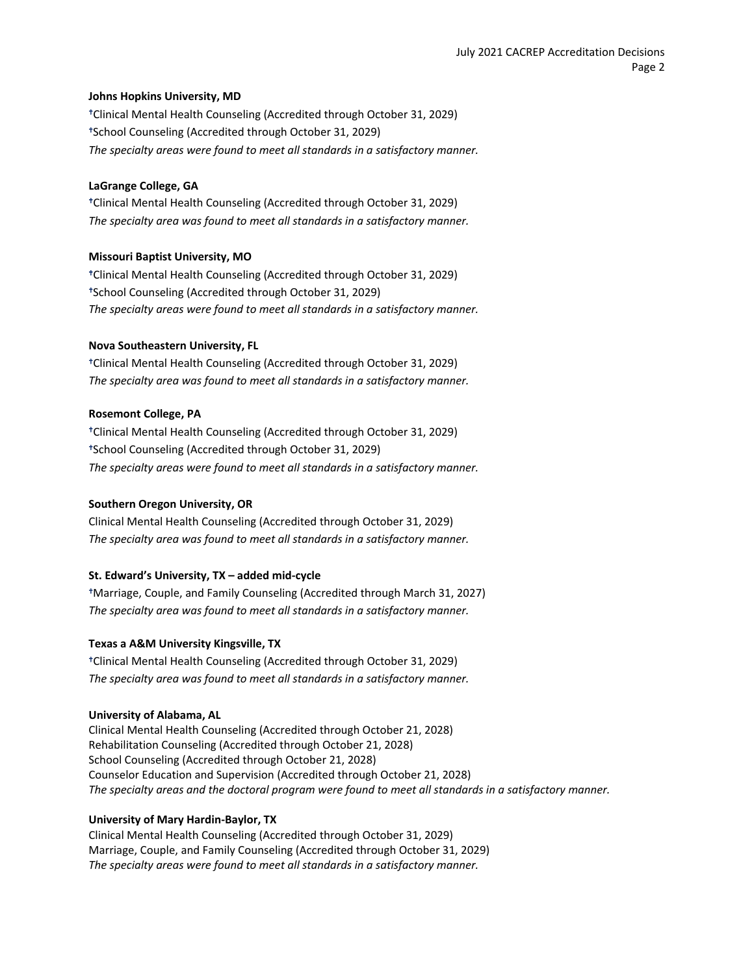## **Johns Hopkins University, MD**

Clinical Mental Health Counseling (Accredited through October 31, 2029) School Counseling (Accredited through October 31, 2029) *The specialty areas were found to meet all standards in a satisfactory manner.*

## **LaGrange College, GA**

Clinical Mental Health Counseling (Accredited through October 31, 2029) *The specialty area was found to meet all standards in a satisfactory manner.*

## **Missouri Baptist University, MO**

Clinical Mental Health Counseling (Accredited through October 31, 2029) School Counseling (Accredited through October 31, 2029) *The specialty areas were found to meet all standards in a satisfactory manner.*

## **Nova Southeastern University, FL**

Clinical Mental Health Counseling (Accredited through October 31, 2029) *The specialty area was found to meet all standards in a satisfactory manner.*

## **Rosemont College, PA**

Clinical Mental Health Counseling (Accredited through October 31, 2029) School Counseling (Accredited through October 31, 2029) *The specialty areas were found to meet all standards in a satisfactory manner.*

## **Southern Oregon University, OR**

Clinical Mental Health Counseling (Accredited through October 31, 2029) *The specialty area was found to meet all standards in a satisfactory manner.*

## **St. Edward's University, TX – added mid-cycle**

Marriage, Couple, and Family Counseling (Accredited through March 31, 2027) *The specialty area was found to meet all standards in a satisfactory manner.*

#### **Texas a A&M University Kingsville, TX**

Clinical Mental Health Counseling (Accredited through October 31, 2029) *The specialty area was found to meet all standards in a satisfactory manner.*

#### **University of Alabama, AL**

Clinical Mental Health Counseling (Accredited through October 21, 2028) Rehabilitation Counseling (Accredited through October 21, 2028) School Counseling (Accredited through October 21, 2028) Counselor Education and Supervision (Accredited through October 21, 2028) *The specialty areas and the doctoral program were found to meet all standards in a satisfactory manner.*

#### **University of Mary Hardin-Baylor, TX**

Clinical Mental Health Counseling (Accredited through October 31, 2029) Marriage, Couple, and Family Counseling (Accredited through October 31, 2029) *The specialty areas were found to meet all standards in a satisfactory manner.*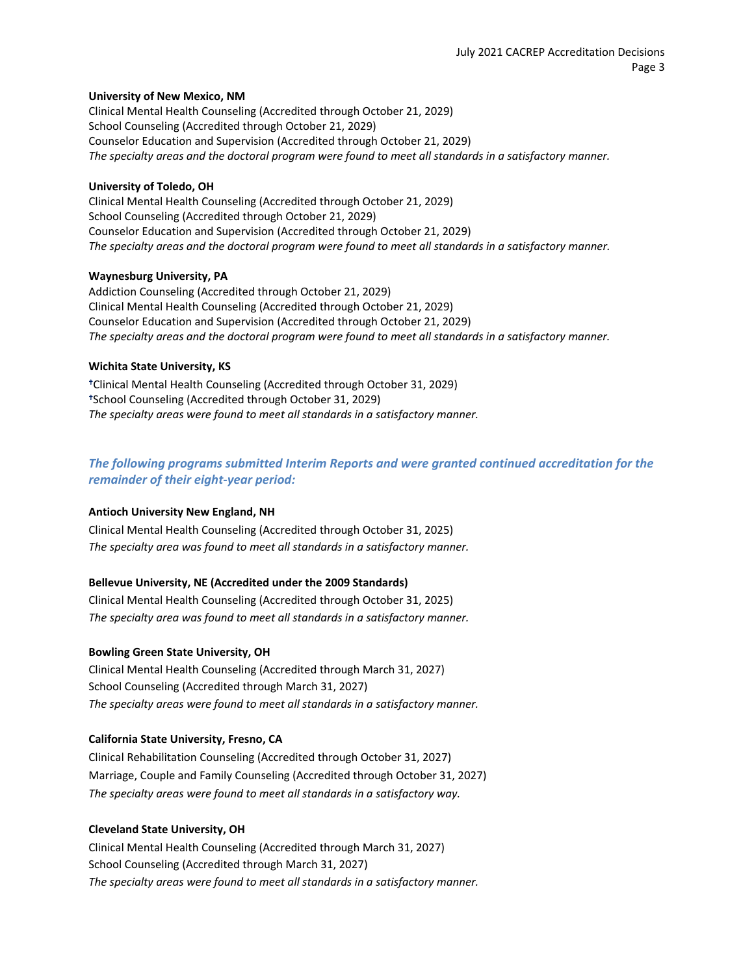## **University of New Mexico, NM**

Clinical Mental Health Counseling (Accredited through October 21, 2029) School Counseling (Accredited through October 21, 2029) Counselor Education and Supervision (Accredited through October 21, 2029) *The specialty areas and the doctoral program were found to meet all standards in a satisfactory manner.*

## **University of Toledo, OH**

Clinical Mental Health Counseling (Accredited through October 21, 2029) School Counseling (Accredited through October 21, 2029) Counselor Education and Supervision (Accredited through October 21, 2029) *The specialty areas and the doctoral program were found to meet all standards in a satisfactory manner.*

## **Waynesburg University, PA**

Addiction Counseling (Accredited through October 21, 2029) Clinical Mental Health Counseling (Accredited through October 21, 2029) Counselor Education and Supervision (Accredited through October 21, 2029) *The specialty areas and the doctoral program were found to meet all standards in a satisfactory manner.*

## **Wichita State University, KS**

Clinical Mental Health Counseling (Accredited through October 31, 2029) School Counseling (Accredited through October 31, 2029) *The specialty areas were found to meet all standards in a satisfactory manner.*

## *The following programs submitted Interim Reports and were granted continued accreditation for the remainder of their eight-year period:*

## **Antioch University New England, NH**

Clinical Mental Health Counseling (Accredited through October 31, 2025) *The specialty area was found to meet all standards in a satisfactory manner.*

## **Bellevue University, NE (Accredited under the 2009 Standards)**

Clinical Mental Health Counseling (Accredited through October 31, 2025) *The specialty area was found to meet all standards in a satisfactory manner.*

#### **Bowling Green State University, OH**

Clinical Mental Health Counseling (Accredited through March 31, 2027) School Counseling (Accredited through March 31, 2027) *The specialty areas were found to meet all standards in a satisfactory manner.*

## **California State University, Fresno, CA**

Clinical Rehabilitation Counseling (Accredited through October 31, 2027) Marriage, Couple and Family Counseling (Accredited through October 31, 2027) *The specialty areas were found to meet all standards in a satisfactory way.*

## **Cleveland State University, OH**

Clinical Mental Health Counseling (Accredited through March 31, 2027) School Counseling (Accredited through March 31, 2027) *The specialty areas were found to meet all standards in a satisfactory manner.*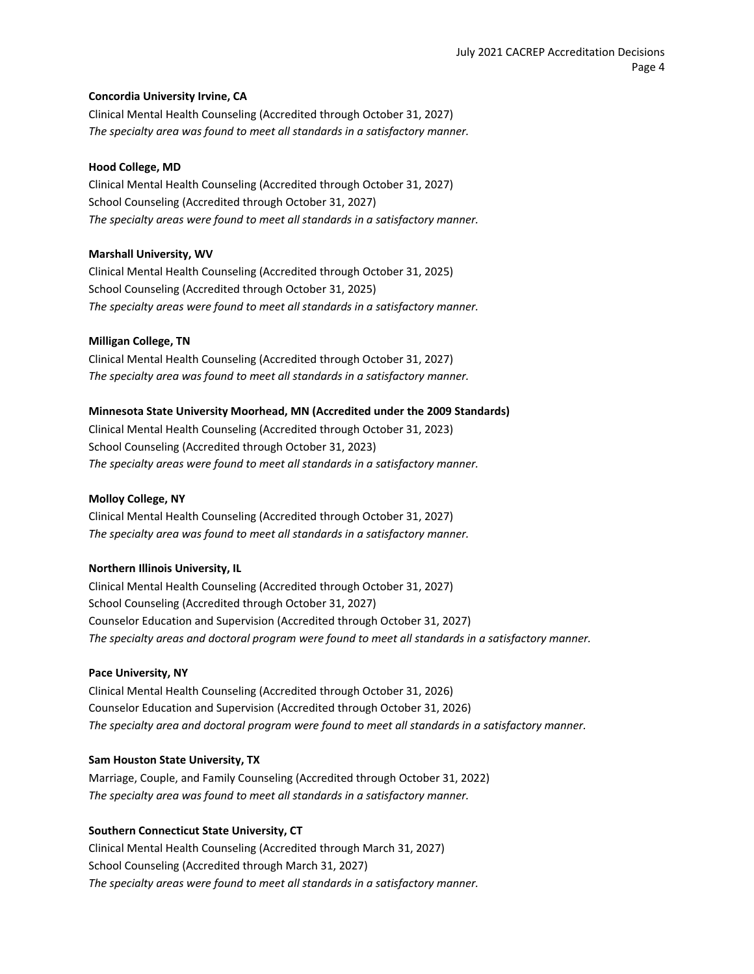## **Concordia University Irvine, CA**

Clinical Mental Health Counseling (Accredited through October 31, 2027) *The specialty area was found to meet all standards in a satisfactory manner.*

#### **Hood College, MD**

Clinical Mental Health Counseling (Accredited through October 31, 2027) School Counseling (Accredited through October 31, 2027) *The specialty areas were found to meet all standards in a satisfactory manner.*

## **Marshall University, WV**

Clinical Mental Health Counseling (Accredited through October 31, 2025) School Counseling (Accredited through October 31, 2025) *The specialty areas were found to meet all standards in a satisfactory manner.*

## **Milligan College, TN**

Clinical Mental Health Counseling (Accredited through October 31, 2027) *The specialty area was found to meet all standards in a satisfactory manner.*

## **Minnesota State University Moorhead, MN (Accredited under the 2009 Standards)**

Clinical Mental Health Counseling (Accredited through October 31, 2023) School Counseling (Accredited through October 31, 2023) *The specialty areas were found to meet all standards in a satisfactory manner.*

#### **Molloy College, NY**

Clinical Mental Health Counseling (Accredited through October 31, 2027) *The specialty area was found to meet all standards in a satisfactory manner.*

#### **Northern Illinois University, IL**

Clinical Mental Health Counseling (Accredited through October 31, 2027) School Counseling (Accredited through October 31, 2027) Counselor Education and Supervision (Accredited through October 31, 2027) *The specialty areas and doctoral program were found to meet all standards in a satisfactory manner.*

#### **Pace University, NY**

Clinical Mental Health Counseling (Accredited through October 31, 2026) Counselor Education and Supervision (Accredited through October 31, 2026) *The specialty area and doctoral program were found to meet all standards in a satisfactory manner.*

## **Sam Houston State University, TX**

Marriage, Couple, and Family Counseling (Accredited through October 31, 2022) *The specialty area was found to meet all standards in a satisfactory manner.*

## **Southern Connecticut State University, CT**

Clinical Mental Health Counseling (Accredited through March 31, 2027) School Counseling (Accredited through March 31, 2027) *The specialty areas were found to meet all standards in a satisfactory manner.*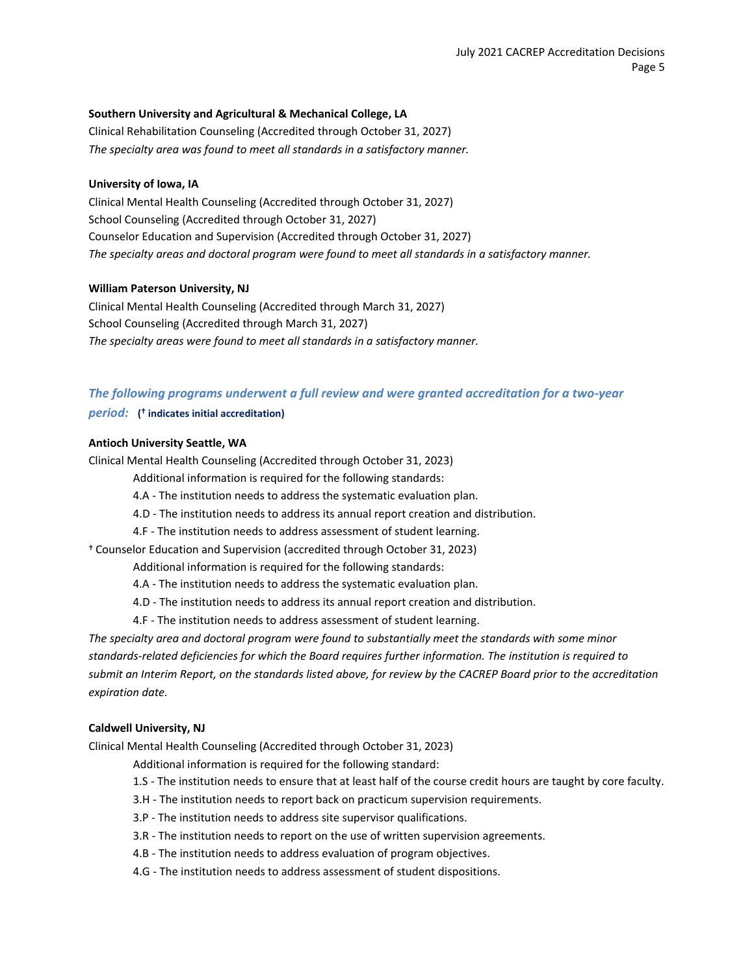## **Southern University and Agricultural & Mechanical College, LA**

Clinical Rehabilitation Counseling (Accredited through October 31, 2027) *The specialty area was found to meet all standards in a satisfactory manner.*

#### **University of Iowa, IA**

Clinical Mental Health Counseling (Accredited through October 31, 2027) School Counseling (Accredited through October 31, 2027) Counselor Education and Supervision (Accredited through October 31, 2027) *The specialty areas and doctoral program were found to meet all standards in a satisfactory manner.*

#### **William Paterson University, NJ**

Clinical Mental Health Counseling (Accredited through March 31, 2027) School Counseling (Accredited through March 31, 2027) *The specialty areas were found to meet all standards in a satisfactory manner.*

## *The following programs underwent a full review and were granted accreditation for a two-year period:* **( indicates initial accreditation)**

#### **Antioch University Seattle, WA**

Clinical Mental Health Counseling (Accredited through October 31, 2023)

- Additional information is required for the following standards:
- 4.A The institution needs to address the systematic evaluation plan.
- 4.D The institution needs to address its annual report creation and distribution.
- 4.F The institution needs to address assessment of student learning.

Counselor Education and Supervision (accredited through October 31, 2023)

- Additional information is required for the following standards:
- 4.A The institution needs to address the systematic evaluation plan.
- 4.D The institution needs to address its annual report creation and distribution.
- 4.F The institution needs to address assessment of student learning.

*The specialty area and doctoral program were found to substantially meet the standards with some minor standards-related deficiencies for which the Board requires further information. The institution is required to submit an Interim Report, on the standards listed above, for review by the CACREP Board prior to the accreditation expiration date.*

#### **Caldwell University, NJ**

Clinical Mental Health Counseling (Accredited through October 31, 2023)

- Additional information is required for the following standard:
- 1.S The institution needs to ensure that at least half of the course credit hours are taught by core faculty.
- 3.H The institution needs to report back on practicum supervision requirements.
- 3.P The institution needs to address site supervisor qualifications.
- 3.R The institution needs to report on the use of written supervision agreements.
- 4.B The institution needs to address evaluation of program objectives.
- 4.G The institution needs to address assessment of student dispositions.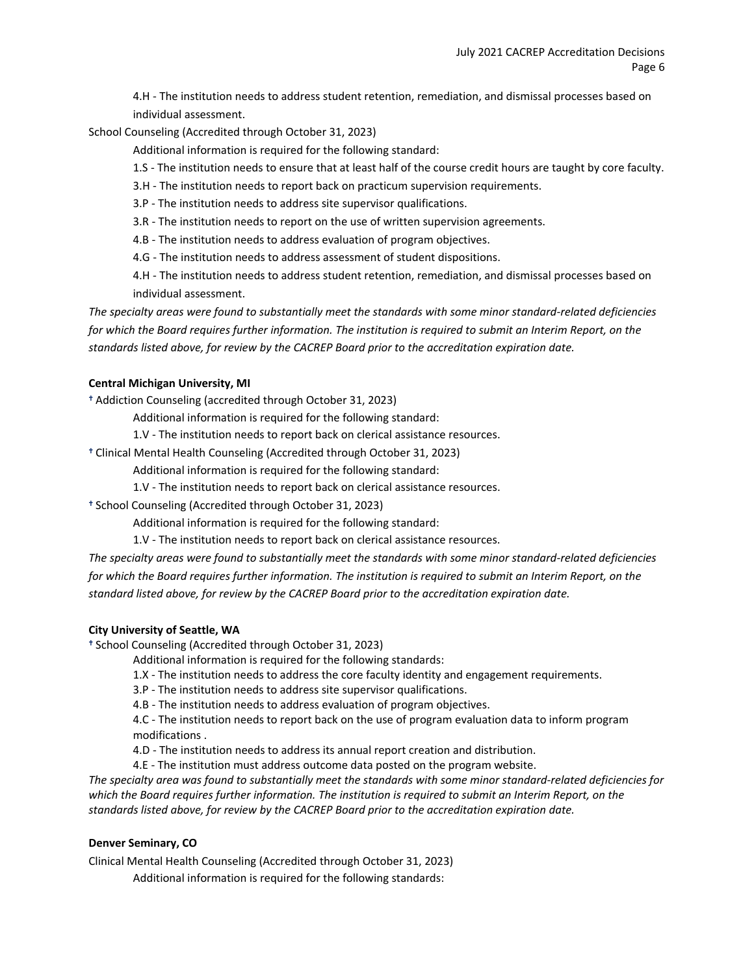4.H - The institution needs to address student retention, remediation, and dismissal processes based on individual assessment.

School Counseling (Accredited through October 31, 2023)

Additional information is required for the following standard:

1.S - The institution needs to ensure that at least half of the course credit hours are taught by core faculty.

3.H - The institution needs to report back on practicum supervision requirements.

3.P - The institution needs to address site supervisor qualifications.

3.R - The institution needs to report on the use of written supervision agreements.

4.B - The institution needs to address evaluation of program objectives.

4.G - The institution needs to address assessment of student dispositions.

4.H - The institution needs to address student retention, remediation, and dismissal processes based on individual assessment.

*The specialty areas were found to substantially meet the standards with some minor standard-related deficiencies for which the Board requires further information. The institution is required to submit an Interim Report, on the standards listed above, for review by the CACREP Board prior to the accreditation expiration date.*

## **Central Michigan University, MI**

Addiction Counseling (accredited through October 31, 2023)

Additional information is required for the following standard:

1.V - The institution needs to report back on clerical assistance resources.

Clinical Mental Health Counseling (Accredited through October 31, 2023)

Additional information is required for the following standard:

1.V - The institution needs to report back on clerical assistance resources.

<sup>+</sup> School Counseling (Accredited through October 31, 2023)

Additional information is required for the following standard:

1.V - The institution needs to report back on clerical assistance resources.

*The specialty areas were found to substantially meet the standards with some minor standard-related deficiencies for which the Board requires further information. The institution is required to submit an Interim Report, on the standard listed above, for review by the CACREP Board prior to the accreditation expiration date.*

## **City University of Seattle, WA**

<sup>+</sup> School Counseling (Accredited through October 31, 2023)

Additional information is required for the following standards:

1.X - The institution needs to address the core faculty identity and engagement requirements.

3.P - The institution needs to address site supervisor qualifications.

4.B - The institution needs to address evaluation of program objectives.

4.C - The institution needs to report back on the use of program evaluation data to inform program modifications .

4.D - The institution needs to address its annual report creation and distribution.

4.E - The institution must address outcome data posted on the program website.

*The specialty area was found to substantially meet the standards with some minor standard-related deficiencies for which the Board requires further information. The institution is required to submit an Interim Report, on the standards listed above, for review by the CACREP Board prior to the accreditation expiration date.*

## **Denver Seminary, CO**

Clinical Mental Health Counseling (Accredited through October 31, 2023)

Additional information is required for the following standards: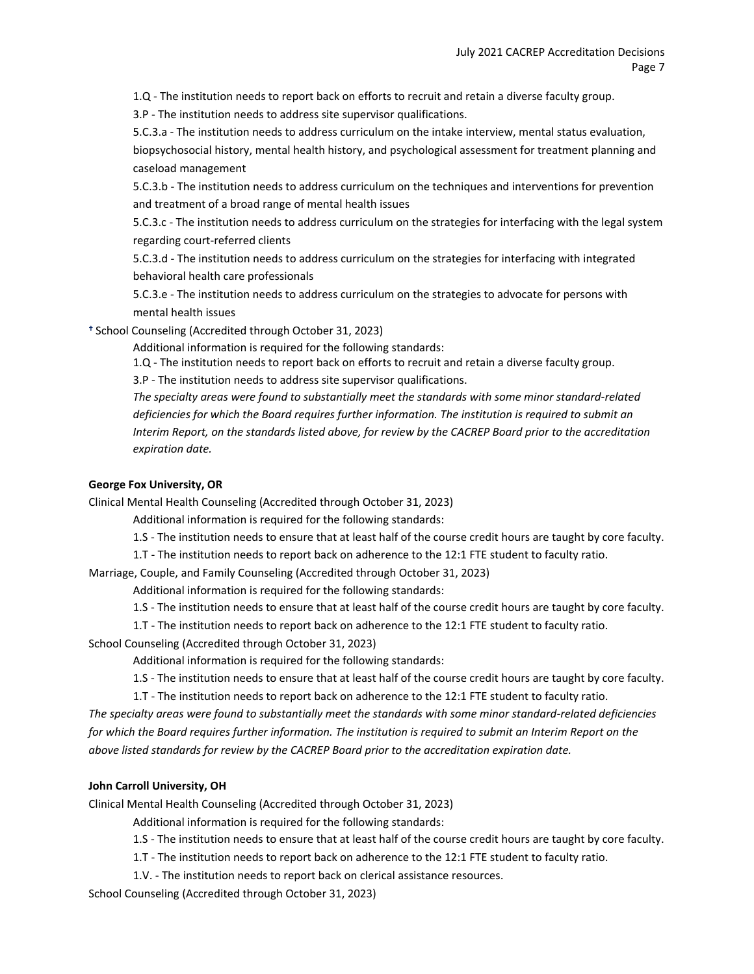1.Q - The institution needs to report back on efforts to recruit and retain a diverse faculty group.

3.P - The institution needs to address site supervisor qualifications.

5.C.3.a - The institution needs to address curriculum on the intake interview, mental status evaluation, biopsychosocial history, mental health history, and psychological assessment for treatment planning and caseload management

5.C.3.b - The institution needs to address curriculum on the techniques and interventions for prevention and treatment of a broad range of mental health issues

5.C.3.c - The institution needs to address curriculum on the strategies for interfacing with the legal system regarding court-referred clients

5.C.3.d - The institution needs to address curriculum on the strategies for interfacing with integrated behavioral health care professionals

5.C.3.e - The institution needs to address curriculum on the strategies to advocate for persons with mental health issues

<sup>+</sup> School Counseling (Accredited through October 31, 2023)

Additional information is required for the following standards:

1.Q - The institution needs to report back on efforts to recruit and retain a diverse faculty group.

3.P - The institution needs to address site supervisor qualifications.

*The specialty areas were found to substantially meet the standards with some minor standard-related deficiencies for which the Board requires further information. The institution is required to submit an Interim Report, on the standards listed above, for review by the CACREP Board prior to the accreditation expiration date.*

## **George Fox University, OR**

Clinical Mental Health Counseling (Accredited through October 31, 2023)

Additional information is required for the following standards:

1.S - The institution needs to ensure that at least half of the course credit hours are taught by core faculty.

1.T - The institution needs to report back on adherence to the 12:1 FTE student to faculty ratio.

Marriage, Couple, and Family Counseling (Accredited through October 31, 2023)

Additional information is required for the following standards:

1.S - The institution needs to ensure that at least half of the course credit hours are taught by core faculty.

1.T - The institution needs to report back on adherence to the 12:1 FTE student to faculty ratio.

School Counseling (Accredited through October 31, 2023)

Additional information is required for the following standards:

1.S - The institution needs to ensure that at least half of the course credit hours are taught by core faculty.

1.T - The institution needs to report back on adherence to the 12:1 FTE student to faculty ratio.

*The specialty areas were found to substantially meet the standards with some minor standard-related deficiencies for which the Board requires further information. The institution is required to submit an Interim Report on the above listed standards for review by the CACREP Board prior to the accreditation expiration date.*

## **John Carroll University, OH**

Clinical Mental Health Counseling (Accredited through October 31, 2023)

Additional information is required for the following standards:

1.S - The institution needs to ensure that at least half of the course credit hours are taught by core faculty.

1.T - The institution needs to report back on adherence to the 12:1 FTE student to faculty ratio.

1.V. - The institution needs to report back on clerical assistance resources.

School Counseling (Accredited through October 31, 2023)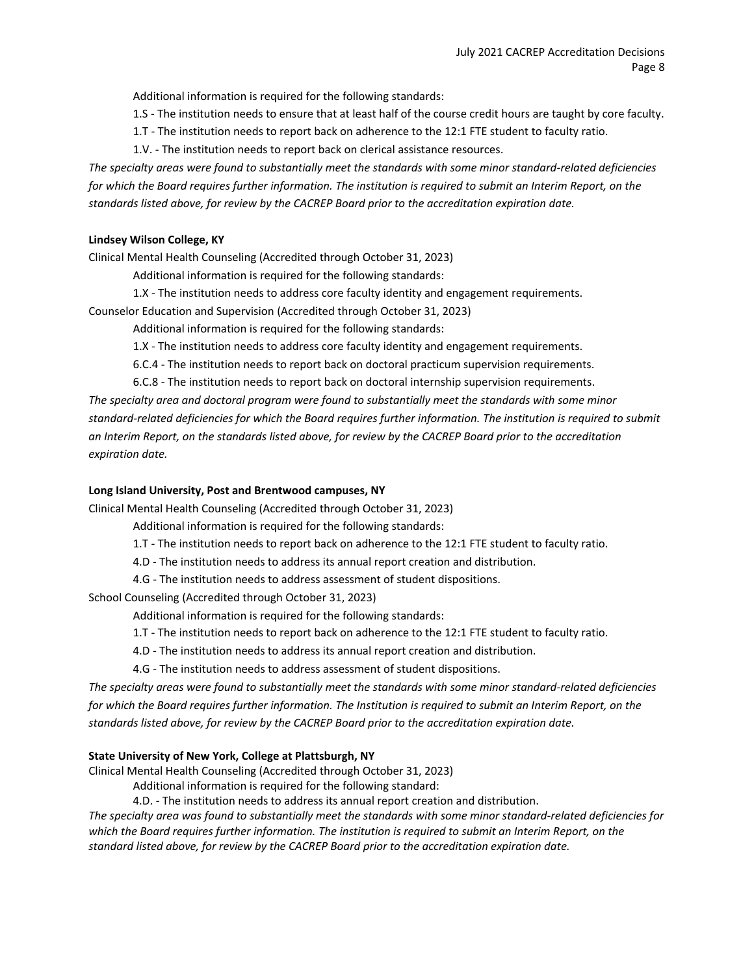Additional information is required for the following standards:

1.S - The institution needs to ensure that at least half of the course credit hours are taught by core faculty.

1.T - The institution needs to report back on adherence to the 12:1 FTE student to faculty ratio.

1.V. - The institution needs to report back on clerical assistance resources.

*The specialty areas were found to substantially meet the standards with some minor standard-related deficiencies for which the Board requires further information. The institution is required to submit an Interim Report, on the standards listed above, for review by the CACREP Board prior to the accreditation expiration date.*

## **Lindsey Wilson College, KY**

Clinical Mental Health Counseling (Accredited through October 31, 2023)

Additional information is required for the following standards:

1.X - The institution needs to address core faculty identity and engagement requirements.

Counselor Education and Supervision (Accredited through October 31, 2023)

Additional information is required for the following standards:

1.X - The institution needs to address core faculty identity and engagement requirements.

6.C.4 - The institution needs to report back on doctoral practicum supervision requirements.

6.C.8 - The institution needs to report back on doctoral internship supervision requirements. *The specialty area and doctoral program were found to substantially meet the standards with some minor standard-related deficiencies for which the Board requires further information. The institution is required to submit an Interim Report, on the standards listed above, for review by the CACREP Board prior to the accreditation expiration date.*

## **Long Island University, Post and Brentwood campuses, NY**

Clinical Mental Health Counseling (Accredited through October 31, 2023)

Additional information is required for the following standards:

- 1.T The institution needs to report back on adherence to the 12:1 FTE student to faculty ratio.
- 4.D The institution needs to address its annual report creation and distribution.
- 4.G The institution needs to address assessment of student dispositions.

School Counseling (Accredited through October 31, 2023)

Additional information is required for the following standards:

1.T - The institution needs to report back on adherence to the 12:1 FTE student to faculty ratio.

4.D - The institution needs to address its annual report creation and distribution.

4.G - The institution needs to address assessment of student dispositions.

*The specialty areas were found to substantially meet the standards with some minor standard-related deficiencies*  for which the Board requires further information. The Institution is required to submit an Interim Report, on the *standards listed above, for review by the CACREP Board prior to the accreditation expiration date.*

## **State University of New York, College at Plattsburgh, NY**

Clinical Mental Health Counseling (Accredited through October 31, 2023)

Additional information is required for the following standard:

4.D. - The institution needs to address its annual report creation and distribution.

*The specialty area was found to substantially meet the standards with some minor standard-related deficiencies for which the Board requires further information. The institution is required to submit an Interim Report, on the standard listed above, for review by the CACREP Board prior to the accreditation expiration date.*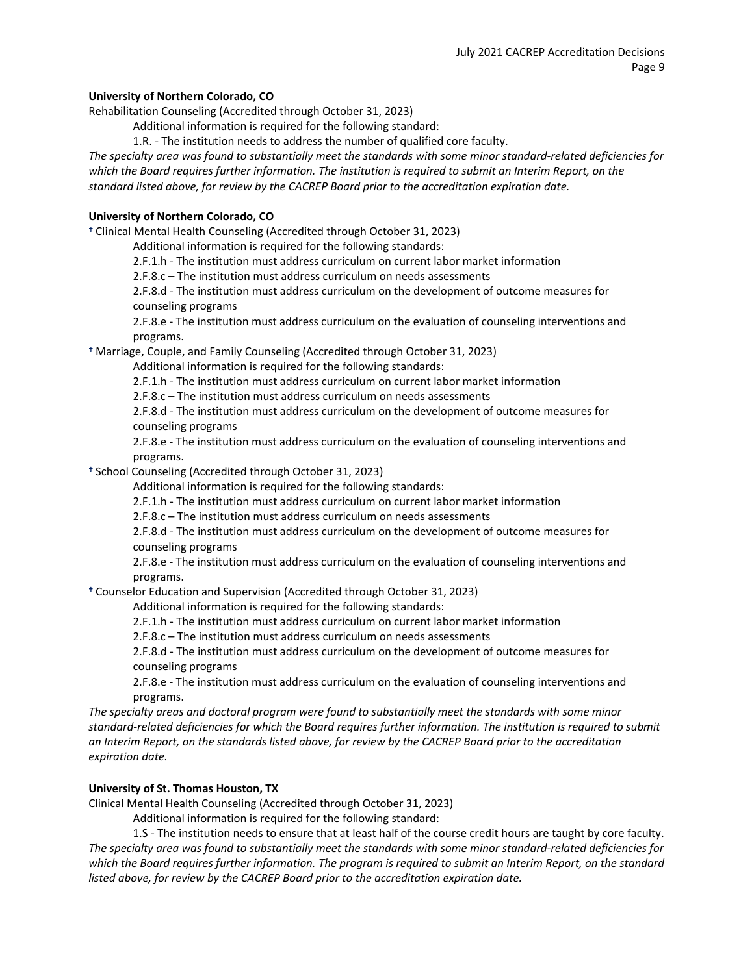## **University of Northern Colorado, CO**

Rehabilitation Counseling (Accredited through October 31, 2023)

Additional information is required for the following standard:

1.R. - The institution needs to address the number of qualified core faculty.

*The specialty area was found to substantially meet the standards with some minor standard-related deficiencies for which the Board requires further information. The institution is required to submit an Interim Report, on the standard listed above, for review by the CACREP Board prior to the accreditation expiration date.*

## **University of Northern Colorado, CO**

Clinical Mental Health Counseling (Accredited through October 31, 2023)

Additional information is required for the following standards:

2.F.1.h - The institution must address curriculum on current labor market information

2.F.8.c – The institution must address curriculum on needs assessments

2.F.8.d - The institution must address curriculum on the development of outcome measures for counseling programs

2.F.8.e - The institution must address curriculum on the evaluation of counseling interventions and programs.

Marriage, Couple, and Family Counseling (Accredited through October 31, 2023)

Additional information is required for the following standards:

2.F.1.h - The institution must address curriculum on current labor market information

2.F.8.c – The institution must address curriculum on needs assessments

2.F.8.d - The institution must address curriculum on the development of outcome measures for counseling programs

2.F.8.e - The institution must address curriculum on the evaluation of counseling interventions and programs.

<sup>+</sup> School Counseling (Accredited through October 31, 2023)

Additional information is required for the following standards:

2.F.1.h - The institution must address curriculum on current labor market information

2.F.8.c – The institution must address curriculum on needs assessments

2.F.8.d - The institution must address curriculum on the development of outcome measures for counseling programs

2.F.8.e - The institution must address curriculum on the evaluation of counseling interventions and programs.

Counselor Education and Supervision (Accredited through October 31, 2023)

Additional information is required for the following standards:

2.F.1.h - The institution must address curriculum on current labor market information

2.F.8.c – The institution must address curriculum on needs assessments

2.F.8.d - The institution must address curriculum on the development of outcome measures for counseling programs

2.F.8.e - The institution must address curriculum on the evaluation of counseling interventions and programs.

*The specialty areas and doctoral program were found to substantially meet the standards with some minor standard-related deficiencies for which the Board requires further information. The institution is required to submit an Interim Report, on the standards listed above, for review by the CACREP Board prior to the accreditation expiration date.*

## **University of St. Thomas Houston, TX**

Clinical Mental Health Counseling (Accredited through October 31, 2023)

Additional information is required for the following standard:

1.S - The institution needs to ensure that at least half of the course credit hours are taught by core faculty. *The specialty area was found to substantially meet the standards with some minor standard-related deficiencies for which the Board requires further information. The program is required to submit an Interim Report, on the standard listed above, for review by the CACREP Board prior to the accreditation expiration date.*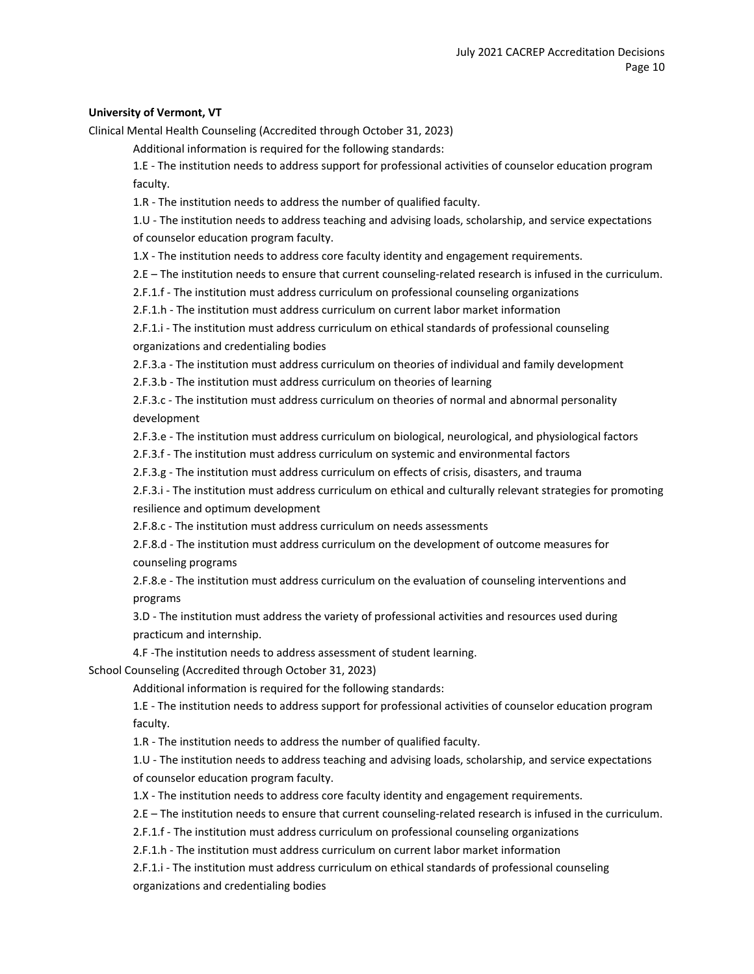## **University of Vermont, VT**

Clinical Mental Health Counseling (Accredited through October 31, 2023)

Additional information is required for the following standards:

1.E - The institution needs to address support for professional activities of counselor education program faculty.

1.R - The institution needs to address the number of qualified faculty.

1.U - The institution needs to address teaching and advising loads, scholarship, and service expectations of counselor education program faculty.

1.X - The institution needs to address core faculty identity and engagement requirements.

2.E – The institution needs to ensure that current counseling-related research is infused in the curriculum.

2.F.1.f - The institution must address curriculum on professional counseling organizations

2.F.1.h - The institution must address curriculum on current labor market information

2.F.1.i - The institution must address curriculum on ethical standards of professional counseling organizations and credentialing bodies

2.F.3.a - The institution must address curriculum on theories of individual and family development

2.F.3.b - The institution must address curriculum on theories of learning

2.F.3.c - The institution must address curriculum on theories of normal and abnormal personality development

2.F.3.e - The institution must address curriculum on biological, neurological, and physiological factors

2.F.3.f - The institution must address curriculum on systemic and environmental factors

2.F.3.g - The institution must address curriculum on effects of crisis, disasters, and trauma

2.F.3.i - The institution must address curriculum on ethical and culturally relevant strategies for promoting resilience and optimum development

2.F.8.c - The institution must address curriculum on needs assessments

2.F.8.d - The institution must address curriculum on the development of outcome measures for counseling programs

2.F.8.e - The institution must address curriculum on the evaluation of counseling interventions and programs

3.D - The institution must address the variety of professional activities and resources used during practicum and internship.

4.F -The institution needs to address assessment of student learning.

School Counseling (Accredited through October 31, 2023)

Additional information is required for the following standards:

1.E - The institution needs to address support for professional activities of counselor education program faculty.

1.R - The institution needs to address the number of qualified faculty.

1.U - The institution needs to address teaching and advising loads, scholarship, and service expectations of counselor education program faculty.

1.X - The institution needs to address core faculty identity and engagement requirements.

2.E – The institution needs to ensure that current counseling-related research is infused in the curriculum.

2.F.1.f - The institution must address curriculum on professional counseling organizations

2.F.1.h - The institution must address curriculum on current labor market information

2.F.1.i - The institution must address curriculum on ethical standards of professional counseling organizations and credentialing bodies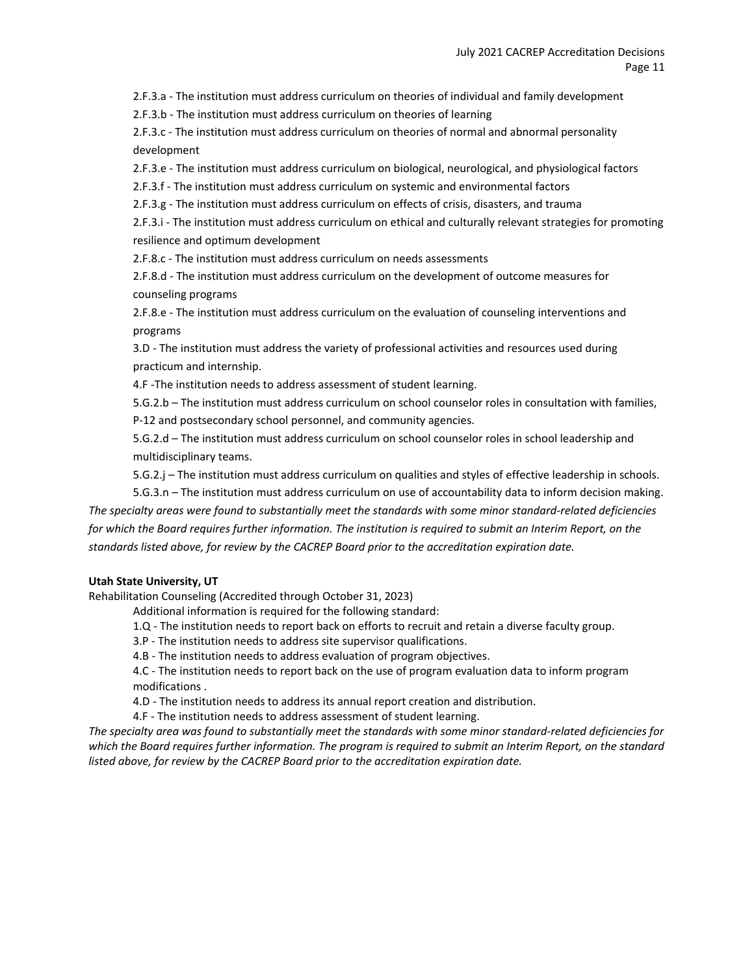2.F.3.a - The institution must address curriculum on theories of individual and family development

2.F.3.b - The institution must address curriculum on theories of learning

2.F.3.c - The institution must address curriculum on theories of normal and abnormal personality development

2.F.3.e - The institution must address curriculum on biological, neurological, and physiological factors

2.F.3.f - The institution must address curriculum on systemic and environmental factors

2.F.3.g - The institution must address curriculum on effects of crisis, disasters, and trauma

2.F.3.i - The institution must address curriculum on ethical and culturally relevant strategies for promoting resilience and optimum development

2.F.8.c - The institution must address curriculum on needs assessments

2.F.8.d - The institution must address curriculum on the development of outcome measures for counseling programs

2.F.8.e - The institution must address curriculum on the evaluation of counseling interventions and programs

3.D - The institution must address the variety of professional activities and resources used during practicum and internship.

4.F -The institution needs to address assessment of student learning.

5.G.2.b – The institution must address curriculum on school counselor roles in consultation with families,

P-12 and postsecondary school personnel, and community agencies.

5.G.2.d – The institution must address curriculum on school counselor roles in school leadership and multidisciplinary teams.

5.G.2.j – The institution must address curriculum on qualities and styles of effective leadership in schools.

5.G.3.n – The institution must address curriculum on use of accountability data to inform decision making. *The specialty areas were found to substantially meet the standards with some minor standard-related deficiencies*  for which the Board requires further information. The institution is required to submit an Interim Report, on the *standards listed above, for review by the CACREP Board prior to the accreditation expiration date.*

## **Utah State University, UT**

Rehabilitation Counseling (Accredited through October 31, 2023)

Additional information is required for the following standard:

- 1.Q The institution needs to report back on efforts to recruit and retain a diverse faculty group.
- 3.P The institution needs to address site supervisor qualifications.

4.B - The institution needs to address evaluation of program objectives.

4.C - The institution needs to report back on the use of program evaluation data to inform program modifications .

4.D - The institution needs to address its annual report creation and distribution.

4.F - The institution needs to address assessment of student learning.

*The specialty area was found to substantially meet the standards with some minor standard-related deficiencies for which the Board requires further information. The program is required to submit an Interim Report, on the standard listed above, for review by the CACREP Board prior to the accreditation expiration date.*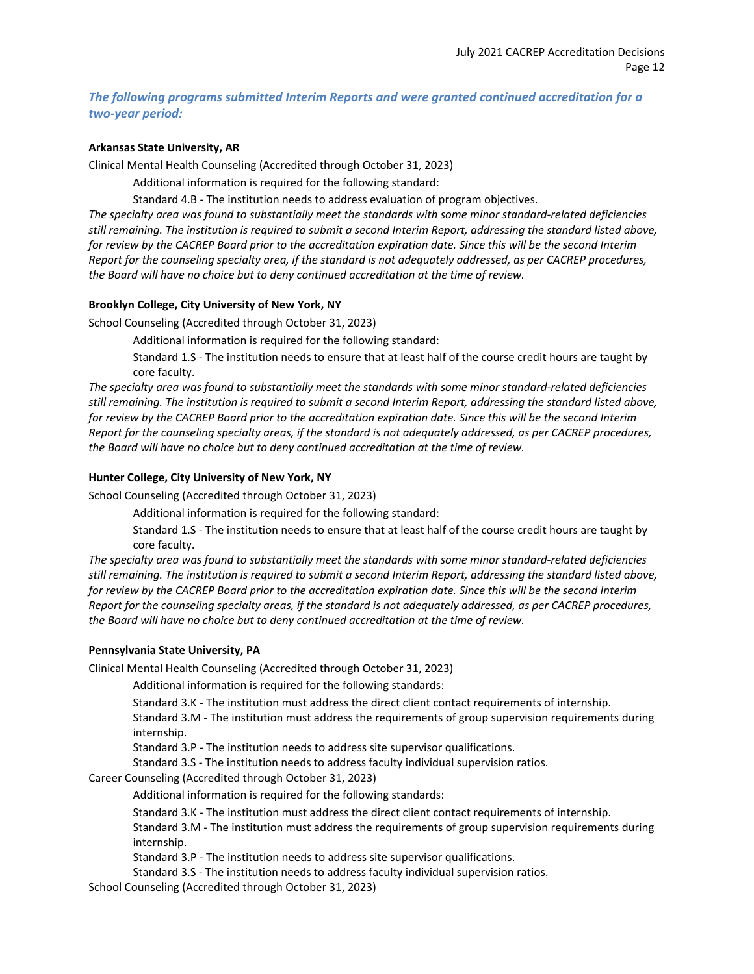## *The following programs submitted Interim Reports and were granted continued accreditation for a two-year period:*

#### **Arkansas State University, AR**

Clinical Mental Health Counseling (Accredited through October 31, 2023)

Additional information is required for the following standard:

Standard 4.B - The institution needs to address evaluation of program objectives.

*The specialty area was found to substantially meet the standards with some minor standard-related deficiencies still remaining. The institution is required to submit a second Interim Report, addressing the standard listed above, for review by the CACREP Board prior to the accreditation expiration date. Since this will be the second Interim Report for the counseling specialty area, if the standard is not adequately addressed, as per CACREP procedures, the Board will have no choice but to deny continued accreditation at the time of review.*

## **Brooklyn College, City University of New York, NY**

School Counseling (Accredited through October 31, 2023)

Additional information is required for the following standard:

Standard 1.S - The institution needs to ensure that at least half of the course credit hours are taught by core faculty.

*The specialty area was found to substantially meet the standards with some minor standard-related deficiencies still remaining. The institution is required to submit a second Interim Report, addressing the standard listed above,*  for review by the CACREP Board prior to the accreditation expiration date. Since this will be the second Interim *Report for the counseling specialty areas, if the standard is not adequately addressed, as per CACREP procedures, the Board will have no choice but to deny continued accreditation at the time of review.*

## **Hunter College, City University of New York, NY**

School Counseling (Accredited through October 31, 2023)

Additional information is required for the following standard:

Standard 1.S - The institution needs to ensure that at least half of the course credit hours are taught by core faculty.

*The specialty area was found to substantially meet the standards with some minor standard-related deficiencies still remaining. The institution is required to submit a second Interim Report, addressing the standard listed above, for review by the CACREP Board prior to the accreditation expiration date. Since this will be the second Interim Report for the counseling specialty areas, if the standard is not adequately addressed, as per CACREP procedures, the Board will have no choice but to deny continued accreditation at the time of review.*

#### **Pennsylvania State University, PA**

Clinical Mental Health Counseling (Accredited through October 31, 2023)

Additional information is required for the following standards:

Standard 3.K - The institution must address the direct client contact requirements of internship.

Standard 3.M - The institution must address the requirements of group supervision requirements during internship.

Standard 3.P - The institution needs to address site supervisor qualifications.

Standard 3.S - The institution needs to address faculty individual supervision ratios.

Career Counseling (Accredited through October 31, 2023)

Additional information is required for the following standards:

Standard 3.K - The institution must address the direct client contact requirements of internship.

Standard 3.M - The institution must address the requirements of group supervision requirements during internship.

Standard 3.P - The institution needs to address site supervisor qualifications.

Standard 3.S - The institution needs to address faculty individual supervision ratios.

School Counseling (Accredited through October 31, 2023)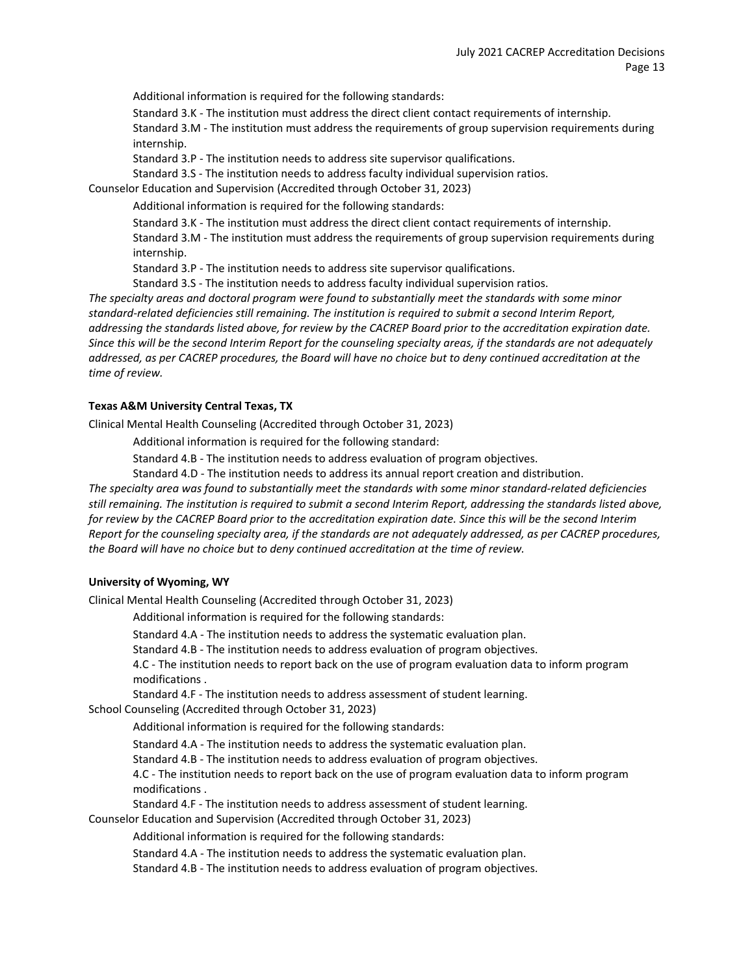Additional information is required for the following standards:

Standard 3.K - The institution must address the direct client contact requirements of internship.

Standard 3.M - The institution must address the requirements of group supervision requirements during internship.

Standard 3.P - The institution needs to address site supervisor qualifications.

Standard 3.S - The institution needs to address faculty individual supervision ratios.

Counselor Education and Supervision (Accredited through October 31, 2023)

Additional information is required for the following standards:

Standard 3.K - The institution must address the direct client contact requirements of internship.

Standard 3.M - The institution must address the requirements of group supervision requirements during internship.

Standard 3.P - The institution needs to address site supervisor qualifications.

Standard 3.S - The institution needs to address faculty individual supervision ratios.

*The specialty areas and doctoral program were found to substantially meet the standards with some minor standard-related deficiencies still remaining. The institution is required to submit a second Interim Report, addressing the standards listed above, for review by the CACREP Board prior to the accreditation expiration date. Since this will be the second Interim Report for the counseling specialty areas, if the standards are not adequately addressed, as per CACREP procedures, the Board will have no choice but to deny continued accreditation at the time of review.*

## **Texas A&M University Central Texas, TX**

Clinical Mental Health Counseling (Accredited through October 31, 2023)

Additional information is required for the following standard:

Standard 4.B - The institution needs to address evaluation of program objectives.

Standard 4.D - The institution needs to address its annual report creation and distribution.

*The specialty area was found to substantially meet the standards with some minor standard-related deficiencies still remaining. The institution is required to submit a second Interim Report, addressing the standards listed above, for review by the CACREP Board prior to the accreditation expiration date. Since this will be the second Interim Report for the counseling specialty area, if the standards are not adequately addressed, as per CACREP procedures, the Board will have no choice but to deny continued accreditation at the time of review.*

## **University of Wyoming, WY**

Clinical Mental Health Counseling (Accredited through October 31, 2023)

Additional information is required for the following standards:

Standard 4.A - The institution needs to address the systematic evaluation plan.

Standard 4.B - The institution needs to address evaluation of program objectives.

4.C - The institution needs to report back on the use of program evaluation data to inform program modifications .

Standard 4.F - The institution needs to address assessment of student learning.

School Counseling (Accredited through October 31, 2023)

Additional information is required for the following standards:

Standard 4.A - The institution needs to address the systematic evaluation plan.

Standard 4.B - The institution needs to address evaluation of program objectives.

4.C - The institution needs to report back on the use of program evaluation data to inform program modifications .

Standard 4.F - The institution needs to address assessment of student learning.

Counselor Education and Supervision (Accredited through October 31, 2023)

Additional information is required for the following standards:

Standard 4.A - The institution needs to address the systematic evaluation plan.

Standard 4.B - The institution needs to address evaluation of program objectives.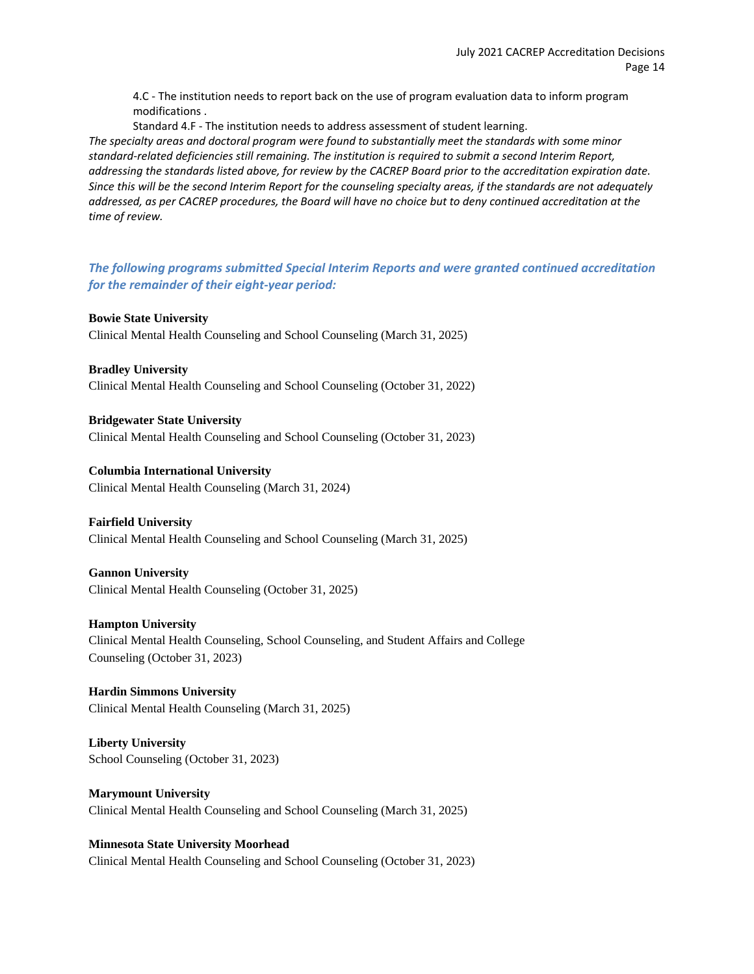4.C - The institution needs to report back on the use of program evaluation data to inform program modifications .

Standard 4.F - The institution needs to address assessment of student learning.

*The specialty areas and doctoral program were found to substantially meet the standards with some minor standard-related deficiencies still remaining. The institution is required to submit a second Interim Report, addressing the standards listed above, for review by the CACREP Board prior to the accreditation expiration date. Since this will be the second Interim Report for the counseling specialty areas, if the standards are not adequately addressed, as per CACREP procedures, the Board will have no choice but to deny continued accreditation at the time of review.*

*The following programs submitted Special Interim Reports and were granted continued accreditation for the remainder of their eight-year period:*

**Bowie State University** Clinical Mental Health Counseling and School Counseling (March 31, 2025)

**Bradley University** Clinical Mental Health Counseling and School Counseling (October 31, 2022)

**Bridgewater State University** Clinical Mental Health Counseling and School Counseling (October 31, 2023)

**Columbia International University** Clinical Mental Health Counseling (March 31, 2024)

**Fairfield University**

Clinical Mental Health Counseling and School Counseling (March 31, 2025)

**Gannon University** Clinical Mental Health Counseling (October 31, 2025)

**Hampton University** Clinical Mental Health Counseling, School Counseling, and Student Affairs and College Counseling (October 31, 2023)

**Hardin Simmons University** Clinical Mental Health Counseling (March 31, 2025)

**Liberty University** School Counseling (October 31, 2023)

**Marymount University** Clinical Mental Health Counseling and School Counseling (March 31, 2025)

**Minnesota State University Moorhead** Clinical Mental Health Counseling and School Counseling (October 31, 2023)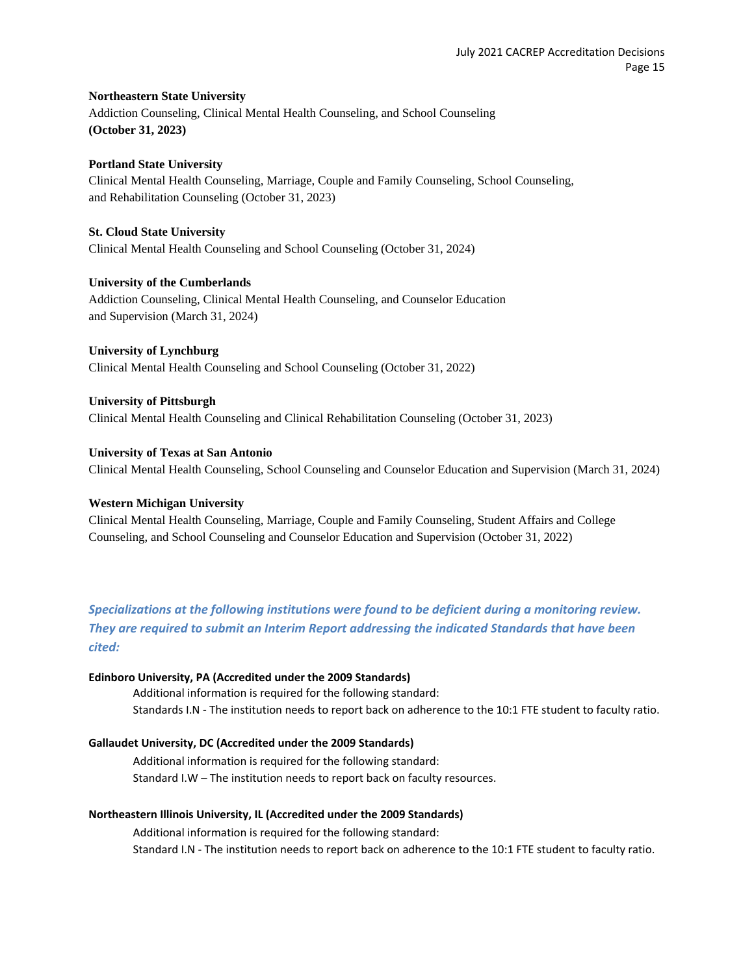## **Northeastern State University**

Addiction Counseling, Clinical Mental Health Counseling, and School Counseling **(October 31, 2023)**

## **Portland State University**

Clinical Mental Health Counseling, Marriage, Couple and Family Counseling, School Counseling, and Rehabilitation Counseling (October 31, 2023)

#### **St. Cloud State University**

Clinical Mental Health Counseling and School Counseling (October 31, 2024)

## **University of the Cumberlands**

Addiction Counseling, Clinical Mental Health Counseling, and Counselor Education and Supervision (March 31, 2024)

## **University of Lynchburg**

Clinical Mental Health Counseling and School Counseling (October 31, 2022)

## **University of Pittsburgh**

Clinical Mental Health Counseling and Clinical Rehabilitation Counseling (October 31, 2023)

## **University of Texas at San Antonio**

Clinical Mental Health Counseling, School Counseling and Counselor Education and Supervision (March 31, 2024)

## **Western Michigan University**

Clinical Mental Health Counseling, Marriage, Couple and Family Counseling, Student Affairs and College Counseling, and School Counseling and Counselor Education and Supervision (October 31, 2022)

*Specializations at the following institutions were found to be deficient during a monitoring review. They are required to submit an Interim Report addressing the indicated Standards that have been cited:*

## **Edinboro University, PA (Accredited under the 2009 Standards)**

Additional information is required for the following standard: Standards I.N - The institution needs to report back on adherence to the 10:1 FTE student to faculty ratio.

#### **Gallaudet University, DC (Accredited under the 2009 Standards)**

Additional information is required for the following standard: Standard I.W – The institution needs to report back on faculty resources.

#### **Northeastern Illinois University, IL (Accredited under the 2009 Standards)**

Additional information is required for the following standard: Standard I.N - The institution needs to report back on adherence to the 10:1 FTE student to faculty ratio.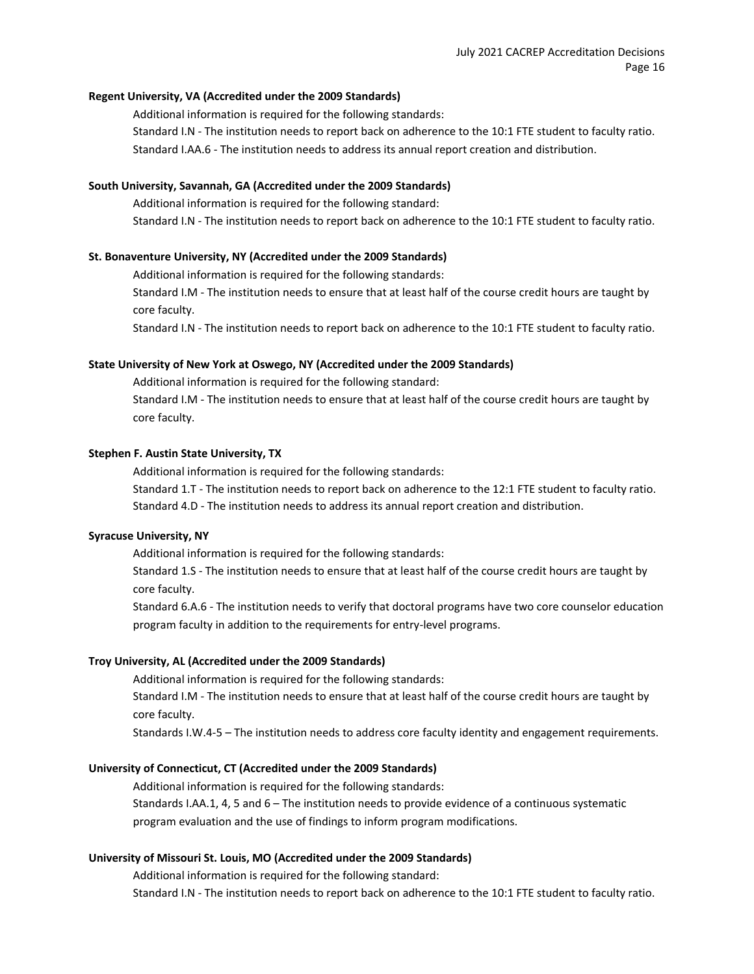#### **Regent University, VA (Accredited under the 2009 Standards)**

Additional information is required for the following standards: Standard I.N - The institution needs to report back on adherence to the 10:1 FTE student to faculty ratio. Standard I.AA.6 - The institution needs to address its annual report creation and distribution.

## **South University, Savannah, GA (Accredited under the 2009 Standards)**

Additional information is required for the following standard: Standard I.N - The institution needs to report back on adherence to the 10:1 FTE student to faculty ratio.

#### **St. Bonaventure University, NY (Accredited under the 2009 Standards)**

Additional information is required for the following standards:

Standard I.M - The institution needs to ensure that at least half of the course credit hours are taught by core faculty.

Standard I.N - The institution needs to report back on adherence to the 10:1 FTE student to faculty ratio.

#### **State University of New York at Oswego, NY (Accredited under the 2009 Standards)**

Additional information is required for the following standard:

Standard I.M - The institution needs to ensure that at least half of the course credit hours are taught by core faculty.

#### **Stephen F. Austin State University, TX**

Additional information is required for the following standards:

Standard 1.T - The institution needs to report back on adherence to the 12:1 FTE student to faculty ratio. Standard 4.D - The institution needs to address its annual report creation and distribution.

## **Syracuse University, NY**

Additional information is required for the following standards:

Standard 1.S - The institution needs to ensure that at least half of the course credit hours are taught by core faculty.

Standard 6.A.6 - The institution needs to verify that doctoral programs have two core counselor education program faculty in addition to the requirements for entry-level programs.

#### **Troy University, AL (Accredited under the 2009 Standards)**

Additional information is required for the following standards: Standard I.M - The institution needs to ensure that at least half of the course credit hours are taught by core faculty.

Standards I.W.4-5 – The institution needs to address core faculty identity and engagement requirements.

#### **University of Connecticut, CT (Accredited under the 2009 Standards)**

Additional information is required for the following standards: Standards I.AA.1, 4, 5 and 6 – The institution needs to provide evidence of a continuous systematic program evaluation and the use of findings to inform program modifications.

## **University of Missouri St. Louis, MO (Accredited under the 2009 Standards)**

Additional information is required for the following standard: Standard I.N - The institution needs to report back on adherence to the 10:1 FTE student to faculty ratio.